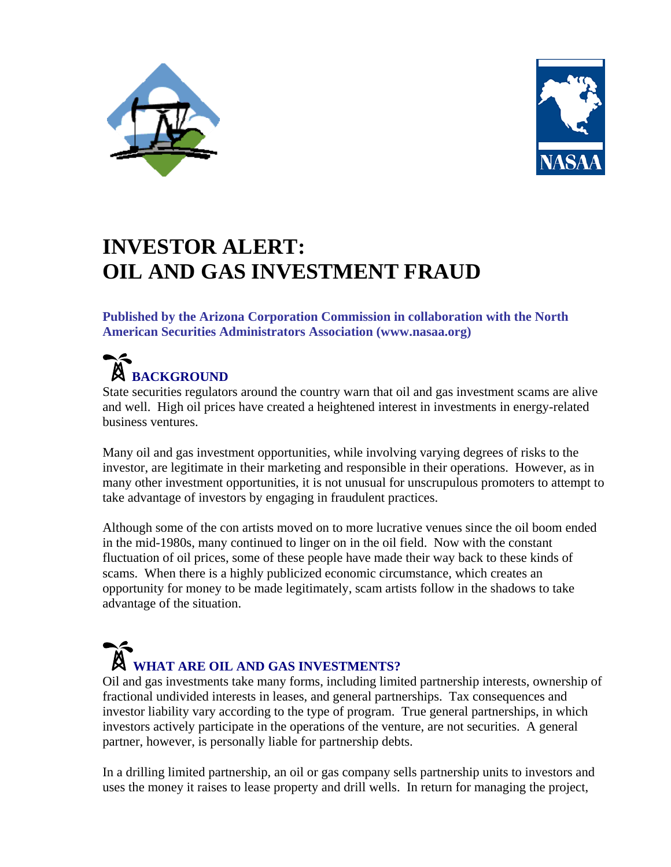



## **INVESTOR ALERT: OIL AND GAS INVESTMENT FRAUD**

**Published by the Arizona Corporation Commission in collaboration with the North American Securities Administrators Association (www.nasaa.org)** 

### $\begin{array}{c} \n\blacktriangle \n\end{array}$ **BACKGROUND**

State securities regulators around the country warn that oil and gas investment scams are alive and well. High oil prices have created a heightened interest in investments in energy-related business ventures.

Many oil and gas investment opportunities, while involving varying degrees of risks to the investor, are legitimate in their marketing and responsible in their operations. However, as in many other investment opportunities, it is not unusual for unscrupulous promoters to attempt to take advantage of investors by engaging in fraudulent practices.

Although some of the con artists moved on to more lucrative venues since the oil boom ended in the mid-1980s, many continued to linger on in the oil field. Now with the constant fluctuation of oil prices, some of these people have made their way back to these kinds of scams. When there is a highly publicized economic circumstance, which creates an opportunity for money to be made legitimately, scam artists follow in the shadows to take advantage of the situation.

# **WHAT ARE OIL AND GAS INVESTMENTS?**

Oil and gas investments take many forms, including limited partnership interests, ownership of fractional undivided interests in leases, and general partnerships. Tax consequences and investor liability vary according to the type of program. True general partnerships, in which investors actively participate in the operations of the venture, are not securities. A general partner, however, is personally liable for partnership debts.

In a drilling limited partnership, an oil or gas company sells partnership units to investors and uses the money it raises to lease property and drill wells. In return for managing the project,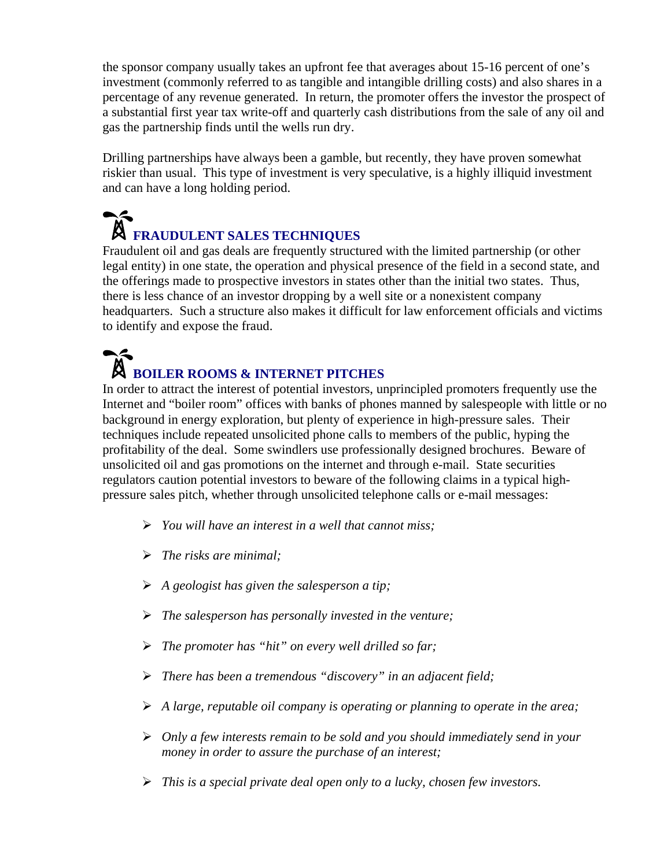the sponsor company usually takes an upfront fee that averages about 15-16 percent of one's investment (commonly referred to as tangible and intangible drilling costs) and also shares in a percentage of any revenue generated. In return, the promoter offers the investor the prospect of a substantial first year tax write-off and quarterly cash distributions from the sale of any oil and gas the partnership finds until the wells run dry.

Drilling partnerships have always been a gamble, but recently, they have proven somewhat riskier than usual. This type of investment is very speculative, is a highly illiquid investment and can have a long holding period.

## $\blacktriangle$ **FRAUDULENT SALES TECHNIQUES**

Fraudulent oil and gas deals are frequently structured with the limited partnership (or other legal entity) in one state, the operation and physical presence of the field in a second state, and the offerings made to prospective investors in states other than the initial two states. Thus, there is less chance of an investor dropping by a well site or a nonexistent company headquarters. Such a structure also makes it difficult for law enforcement officials and victims to identify and expose the fraud.

### $\blacktriangle$ **BOILER ROOMS & INTERNET PITCHES**

In order to attract the interest of potential investors, unprincipled promoters frequently use the Internet and "boiler room" offices with banks of phones manned by salespeople with little or no background in energy exploration, but plenty of experience in high-pressure sales. Their techniques include repeated unsolicited phone calls to members of the public, hyping the profitability of the deal. Some swindlers use professionally designed brochures. Beware of unsolicited oil and gas promotions on the internet and through e-mail. State securities regulators caution potential investors to beware of the following claims in a typical highpressure sales pitch, whether through unsolicited telephone calls or e-mail messages:

- ¾ *You will have an interest in a well that cannot miss;*
- ¾ *The risks are minimal;*
- ¾ *A geologist has given the salesperson a tip;*
- ¾ *The salesperson has personally invested in the venture;*
- ¾ *The promoter has "hit" on every well drilled so far;*
- ¾ *There has been a tremendous "discovery" in an adjacent field;*
- ¾ *A large, reputable oil company is operating or planning to operate in the area;*
- ¾ *Only a few interests remain to be sold and you should immediately send in your money in order to assure the purchase of an interest;*
- ¾ *This is a special private deal open only to a lucky, chosen few investors.*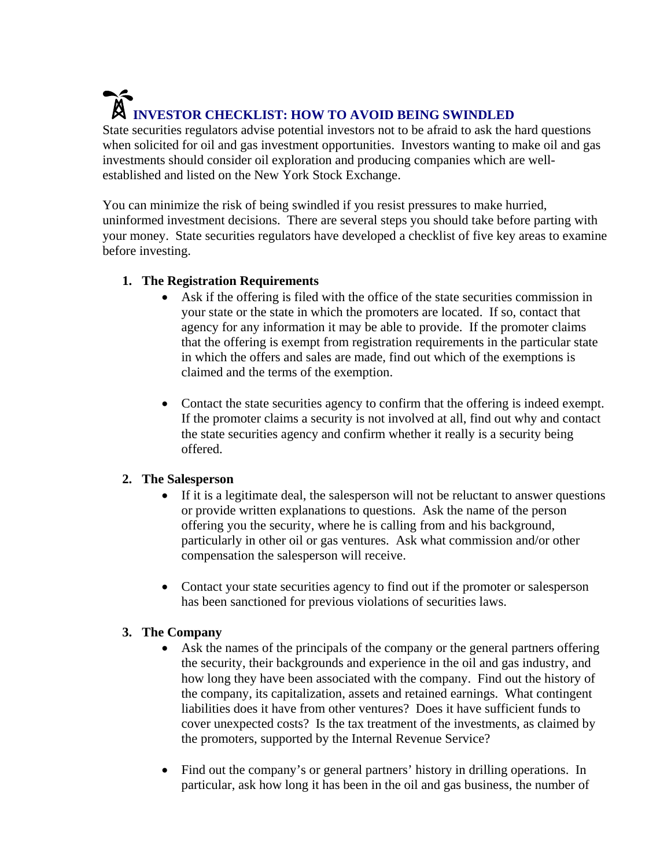# **INVESTOR CHECKLIST: HOW TO AVOID BEING SWINDLED**

State securities regulators advise potential investors not to be afraid to ask the hard questions when solicited for oil and gas investment opportunities. Investors wanting to make oil and gas investments should consider oil exploration and producing companies which are wellestablished and listed on the New York Stock Exchange.

You can minimize the risk of being swindled if you resist pressures to make hurried, uninformed investment decisions. There are several steps you should take before parting with your money. State securities regulators have developed a checklist of five key areas to examine before investing.

#### **1. The Registration Requirements**

- Ask if the offering is filed with the office of the state securities commission in your state or the state in which the promoters are located. If so, contact that agency for any information it may be able to provide. If the promoter claims that the offering is exempt from registration requirements in the particular state in which the offers and sales are made, find out which of the exemptions is claimed and the terms of the exemption.
- Contact the state securities agency to confirm that the offering is indeed exempt. If the promoter claims a security is not involved at all, find out why and contact the state securities agency and confirm whether it really is a security being offered.

#### **2. The Salesperson**

- If it is a legitimate deal, the salesperson will not be reluctant to answer questions or provide written explanations to questions. Ask the name of the person offering you the security, where he is calling from and his background, particularly in other oil or gas ventures. Ask what commission and/or other compensation the salesperson will receive.
- Contact your state securities agency to find out if the promoter or salesperson has been sanctioned for previous violations of securities laws.

#### **3. The Company**

- Ask the names of the principals of the company or the general partners offering the security, their backgrounds and experience in the oil and gas industry, and how long they have been associated with the company. Find out the history of the company, its capitalization, assets and retained earnings. What contingent liabilities does it have from other ventures? Does it have sufficient funds to cover unexpected costs? Is the tax treatment of the investments, as claimed by the promoters, supported by the Internal Revenue Service?
- Find out the company's or general partners' history in drilling operations. In particular, ask how long it has been in the oil and gas business, the number of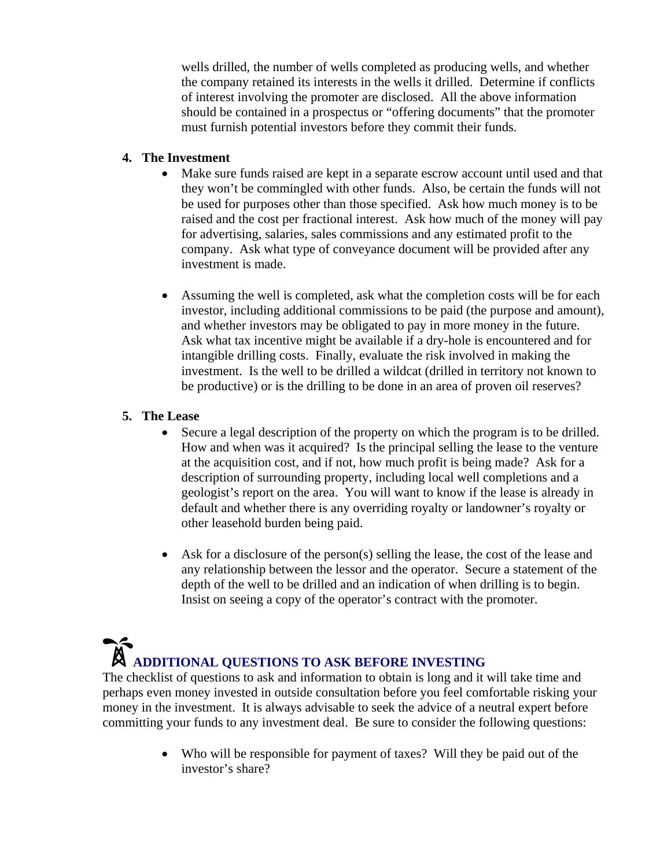wells drilled, the number of wells completed as producing wells, and whether the company retained its interests in the wells it drilled. Determine if conflicts of interest involving the promoter are disclosed. All the above information should be contained in a prospectus or "offering documents" that the promoter must furnish potential investors before they commit their funds.

#### **4. The Investment**

- Make sure funds raised are kept in a separate escrow account until used and that they won't be commingled with other funds. Also, be certain the funds will not be used for purposes other than those specified. Ask how much money is to be raised and the cost per fractional interest. Ask how much of the money will pay for advertising, salaries, sales commissions and any estimated profit to the company. Ask what type of conveyance document will be provided after any investment is made.
- Assuming the well is completed, ask what the completion costs will be for each investor, including additional commissions to be paid (the purpose and amount), and whether investors may be obligated to pay in more money in the future. Ask what tax incentive might be available if a dry-hole is encountered and for intangible drilling costs. Finally, evaluate the risk involved in making the investment. Is the well to be drilled a wildcat (drilled in territory not known to be productive) or is the drilling to be done in an area of proven oil reserves?

#### **5. The Lease**

- Secure a legal description of the property on which the program is to be drilled. How and when was it acquired? Is the principal selling the lease to the venture at the acquisition cost, and if not, how much profit is being made? Ask for a description of surrounding property, including local well completions and a geologist's report on the area. You will want to know if the lease is already in default and whether there is any overriding royalty or landowner's royalty or other leasehold burden being paid.
- Ask for a disclosure of the person(s) selling the lease, the cost of the lease and any relationship between the lessor and the operator. Secure a statement of the depth of the well to be drilled and an indication of when drilling is to begin. Insist on seeing a copy of the operator's contract with the promoter.

# **ADDITIONAL QUESTIONS TO ASK BEFORE INVESTING**

The checklist of questions to ask and information to obtain is long and it will take time and perhaps even money invested in outside consultation before you feel comfortable risking your money in the investment. It is always advisable to seek the advice of a neutral expert before committing your funds to any investment deal. Be sure to consider the following questions:

> • Who will be responsible for payment of taxes? Will they be paid out of the investor's share?